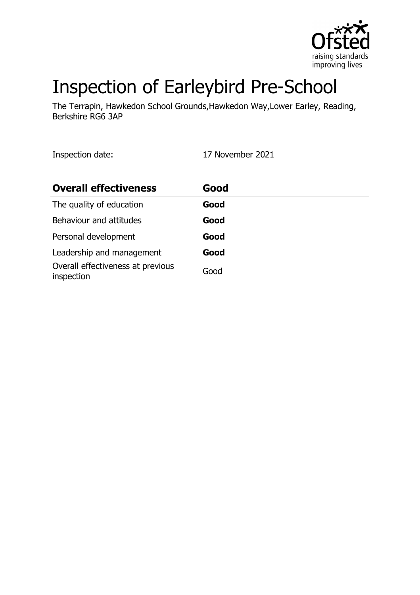

# Inspection of Earleybird Pre-School

The Terrapin, Hawkedon School Grounds,Hawkedon Way,Lower Earley, Reading, Berkshire RG6 3AP

Inspection date: 17 November 2021

| <b>Overall effectiveness</b>                    | Good |
|-------------------------------------------------|------|
| The quality of education                        | Good |
| Behaviour and attitudes                         | Good |
| Personal development                            | Good |
| Leadership and management                       | Good |
| Overall effectiveness at previous<br>inspection | Good |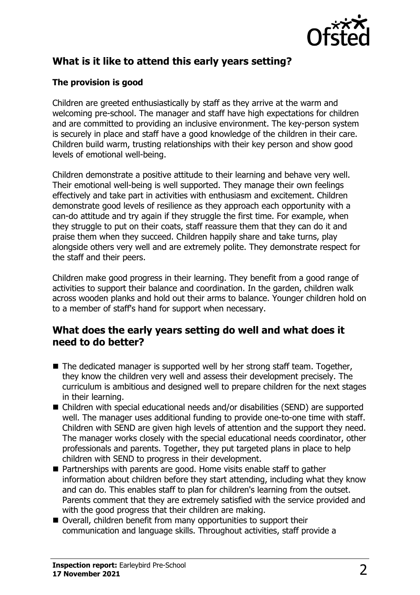

## **What is it like to attend this early years setting?**

#### **The provision is good**

Children are greeted enthusiastically by staff as they arrive at the warm and welcoming pre-school. The manager and staff have high expectations for children and are committed to providing an inclusive environment. The key-person system is securely in place and staff have a good knowledge of the children in their care. Children build warm, trusting relationships with their key person and show good levels of emotional well-being.

Children demonstrate a positive attitude to their learning and behave very well. Their emotional well-being is well supported. They manage their own feelings effectively and take part in activities with enthusiasm and excitement. Children demonstrate good levels of resilience as they approach each opportunity with a can-do attitude and try again if they struggle the first time. For example, when they struggle to put on their coats, staff reassure them that they can do it and praise them when they succeed. Children happily share and take turns, play alongside others very well and are extremely polite. They demonstrate respect for the staff and their peers.

Children make good progress in their learning. They benefit from a good range of activities to support their balance and coordination. In the garden, children walk across wooden planks and hold out their arms to balance. Younger children hold on to a member of staff's hand for support when necessary.

#### **What does the early years setting do well and what does it need to do better?**

- $\blacksquare$  The dedicated manager is supported well by her strong staff team. Together, they know the children very well and assess their development precisely. The curriculum is ambitious and designed well to prepare children for the next stages in their learning.
- $\blacksquare$  Children with special educational needs and/or disabilities (SEND) are supported well. The manager uses additional funding to provide one-to-one time with staff. Children with SEND are given high levels of attention and the support they need. The manager works closely with the special educational needs coordinator, other professionals and parents. Together, they put targeted plans in place to help children with SEND to progress in their development.
- Partnerships with parents are good. Home visits enable staff to gather information about children before they start attending, including what they know and can do. This enables staff to plan for children's learning from the outset. Parents comment that they are extremely satisfied with the service provided and with the good progress that their children are making.
- Overall, children benefit from many opportunities to support their communication and language skills. Throughout activities, staff provide a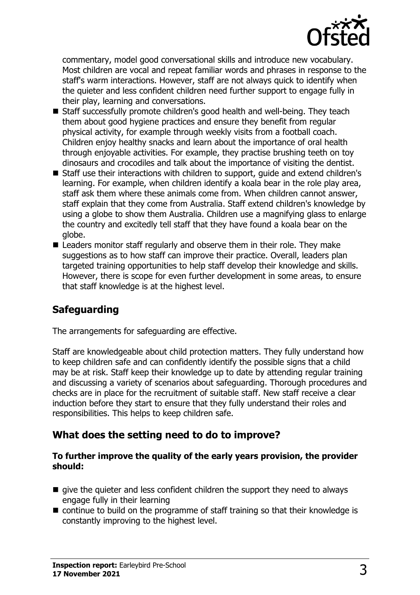

commentary, model good conversational skills and introduce new vocabulary. Most children are vocal and repeat familiar words and phrases in response to the staff's warm interactions. However, staff are not always quick to identify when the quieter and less confident children need further support to engage fully in their play, learning and conversations.

- Staff successfully promote children's good health and well-being. They teach them about good hygiene practices and ensure they benefit from regular physical activity, for example through weekly visits from a football coach. Children enjoy healthy snacks and learn about the importance of oral health through enjoyable activities. For example, they practise brushing teeth on toy dinosaurs and crocodiles and talk about the importance of visiting the dentist.
- Staff use their interactions with children to support, guide and extend children's learning. For example, when children identify a koala bear in the role play area, staff ask them where these animals come from. When children cannot answer, staff explain that they come from Australia. Staff extend children's knowledge by using a globe to show them Australia. Children use a magnifying glass to enlarge the country and excitedly tell staff that they have found a koala bear on the globe.
- $\blacksquare$  Leaders monitor staff regularly and observe them in their role. They make suggestions as to how staff can improve their practice. Overall, leaders plan targeted training opportunities to help staff develop their knowledge and skills. However, there is scope for even further development in some areas, to ensure that staff knowledge is at the highest level.

## **Safeguarding**

The arrangements for safeguarding are effective.

Staff are knowledgeable about child protection matters. They fully understand how to keep children safe and can confidently identify the possible signs that a child may be at risk. Staff keep their knowledge up to date by attending regular training and discussing a variety of scenarios about safeguarding. Thorough procedures and checks are in place for the recruitment of suitable staff. New staff receive a clear induction before they start to ensure that they fully understand their roles and responsibilities. This helps to keep children safe.

## **What does the setting need to do to improve?**

#### **To further improve the quality of the early years provision, the provider should:**

- $\blacksquare$  give the quieter and less confident children the support they need to always engage fully in their learning
- $\blacksquare$  continue to build on the programme of staff training so that their knowledge is constantly improving to the highest level.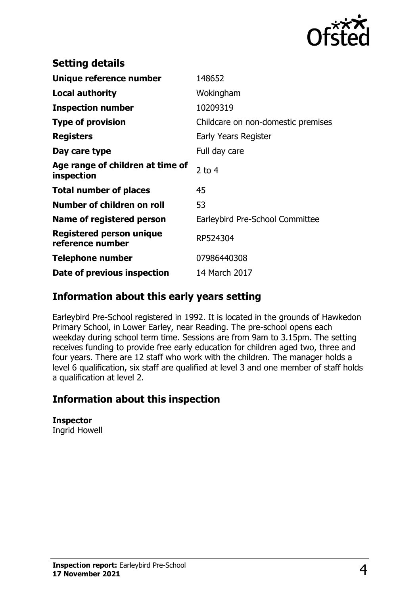

| <b>Setting details</b>                         |                                    |
|------------------------------------------------|------------------------------------|
| Unique reference number                        | 148652                             |
| <b>Local authority</b>                         | Wokingham                          |
| <b>Inspection number</b>                       | 10209319                           |
| <b>Type of provision</b>                       | Childcare on non-domestic premises |
| <b>Registers</b>                               | <b>Early Years Register</b>        |
| Day care type                                  | Full day care                      |
| Age range of children at time of<br>inspection | 2 to $4$                           |
| <b>Total number of places</b>                  | 45                                 |
| Number of children on roll                     | 53                                 |
| Name of registered person                      | Earleybird Pre-School Committee    |
| Registered person unique<br>reference number   | RP524304                           |
| <b>Telephone number</b>                        | 07986440308                        |
| Date of previous inspection                    | 14 March 2017                      |

## **Information about this early years setting**

Earleybird Pre-School registered in 1992. It is located in the grounds of Hawkedon Primary School, in Lower Earley, near Reading. The pre-school opens each weekday during school term time. Sessions are from 9am to 3.15pm. The setting receives funding to provide free early education for children aged two, three and four years. There are 12 staff who work with the children. The manager holds a level 6 qualification, six staff are qualified at level 3 and one member of staff holds a qualification at level 2.

## **Information about this inspection**

**Inspector** Ingrid Howell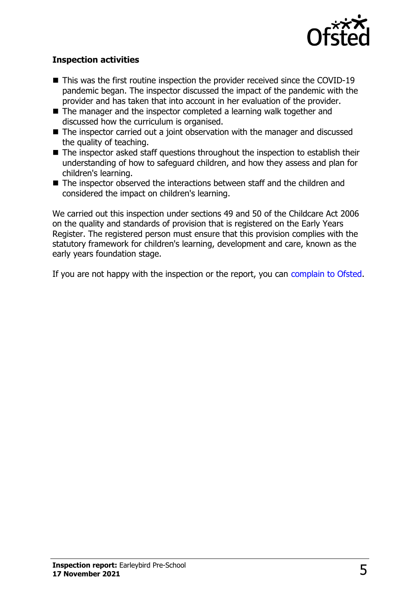

#### **Inspection activities**

- $\blacksquare$  This was the first routine inspection the provider received since the COVID-19 pandemic began. The inspector discussed the impact of the pandemic with the provider and has taken that into account in her evaluation of the provider.
- $\blacksquare$  The manager and the inspector completed a learning walk together and discussed how the curriculum is organised.
- $\blacksquare$  The inspector carried out a joint observation with the manager and discussed the quality of teaching.
- The inspector asked staff questions throughout the inspection to establish their understanding of how to safeguard children, and how they assess and plan for children's learning.
- The inspector observed the interactions between staff and the children and considered the impact on children's learning.

We carried out this inspection under sections 49 and 50 of the Childcare Act 2006 on the quality and standards of provision that is registered on the Early Years Register. The registered person must ensure that this provision complies with the statutory framework for children's learning, development and care, known as the early years foundation stage.

If you are not happy with the inspection or the report, you can [complain to Ofsted](http://www.gov.uk/complain-ofsted-report).